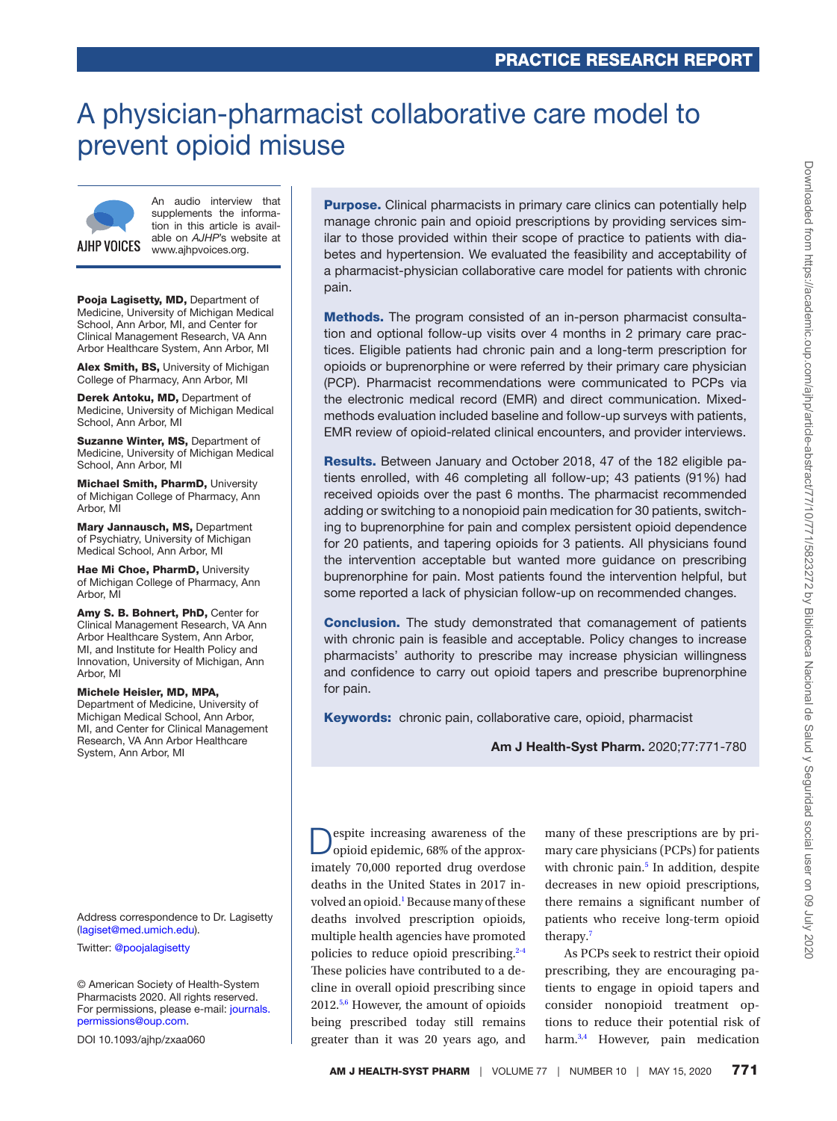## A physician-pharmacist collaborative care model to prevent opioid misuse



An audio interview that supplements the information in this article is available on *AJHP*'s website at www.ajhpvoices.org.

Pooja Lagisetty, MD, Department of Medicine, University of Michigan Medical School, Ann Arbor, MI, and Center for Clinical Management Research, VA Ann Arbor Healthcare System, Ann Arbor, MI

Alex Smith, BS, University of Michigan College of Pharmacy, Ann Arbor, MI

Derek Antoku, MD, Department of Medicine, University of Michigan Medical School, Ann Arbor, MI

Suzanne Winter, MS, Department of Medicine, University of Michigan Medical School, Ann Arbor, MI

Michael Smith, PharmD, University of Michigan College of Pharmacy, Ann Arbor, MI

Mary Jannausch, MS, Department of Psychiatry, University of Michigan Medical School, Ann Arbor, MI

Hae Mi Choe, PharmD, University of Michigan College of Pharmacy, Ann Arbor, MI

Amy S. B. Bohnert, PhD, Center for Clinical Management Research, VA Ann Arbor Healthcare System, Ann Arbor, MI, and Institute for Health Policy and Innovation, University of Michigan, Ann Arbor, MI

#### Michele Heisler, MD, MPA, Department of Medicine, University of Michigan Medical School, Ann Arbor, MI, and Center for Clinical Management Research, VA Ann Arbor Healthcare System, Ann Arbor, MI

Address correspondence to Dr. Lagisetty ([lagiset@med.umich.edu\)](mailto:lagiset@med.umich.edu?subject=).

Twitter: [@poojalagisetty](https://twitter.com/@poojalagisetty)

© American Society of Health-System Pharmacists 2020. All rights reserved. For permissions, please e-mail: [journals.](mailto:journals.permissions@oup.com?subject=) [permissions@oup.com](mailto:journals.permissions@oup.com?subject=).

DOI 10.1093/ajhp/zxaa060

**Purpose.** Clinical pharmacists in primary care clinics can potentially help manage chronic pain and opioid prescriptions by providing services similar to those provided within their scope of practice to patients with diabetes and hypertension. We evaluated the feasibility and acceptability of a pharmacist-physician collaborative care model for patients with chronic pain.

Methods. The program consisted of an in-person pharmacist consultation and optional follow-up visits over 4 months in 2 primary care practices. Eligible patients had chronic pain and a long-term prescription for opioids or buprenorphine or were referred by their primary care physician (PCP). Pharmacist recommendations were communicated to PCPs via the electronic medical record (EMR) and direct communication. Mixedmethods evaluation included baseline and follow-up surveys with patients, EMR review of opioid-related clinical encounters, and provider interviews.

Results. Between January and October 2018, 47 of the 182 eligible patients enrolled, with 46 completing all follow-up; 43 patients (91%) had received opioids over the past 6 months. The pharmacist recommended adding or switching to a nonopioid pain medication for 30 patients, switching to buprenorphine for pain and complex persistent opioid dependence for 20 patients, and tapering opioids for 3 patients. All physicians found the intervention acceptable but wanted more guidance on prescribing buprenorphine for pain. Most patients found the intervention helpful, but some reported a lack of physician follow-up on recommended changes.

**Conclusion.** The study demonstrated that comanagement of patients with chronic pain is feasible and acceptable. Policy changes to increase pharmacists' authority to prescribe may increase physician willingness and confidence to carry out opioid tapers and prescribe buprenorphine for pain.

Keywords: chronic pain, collaborative care, opioid, pharmacist

Am J Health-Syst Pharm. 2020;77:771-780

espite increasing awareness of the opioid epidemic, 68% of the approximately 70,000 reported drug overdose deaths in the United States in 2017 in-volved an opioid.<sup>[1](#page-7-0)</sup> Because many of these deaths involved prescription opioids, multiple health agencies have promoted policies to reduce opioid prescribing.<sup>2-4</sup> These policies have contributed to a decline in overall opioid prescribing since 2012[.5,](#page-8-0)[6](#page-8-1) However, the amount of opioids being prescribed today still remains greater than it was 20 years ago, and

many of these prescriptions are by primary care physicians (PCPs) for patients with chronic pain.<sup>[5](#page-8-0)</sup> In addition, despite decreases in new opioid prescriptions, there remains a significant number of patients who receive long-term opioid therapy.[7](#page-8-2)

As PCPs seek to restrict their opioid prescribing, they are encouraging patients to engage in opioid tapers and consider nonopioid treatment options to reduce their potential risk of harm.<sup>[3,](#page-8-3)[4](#page-8-4)</sup> However, pain medication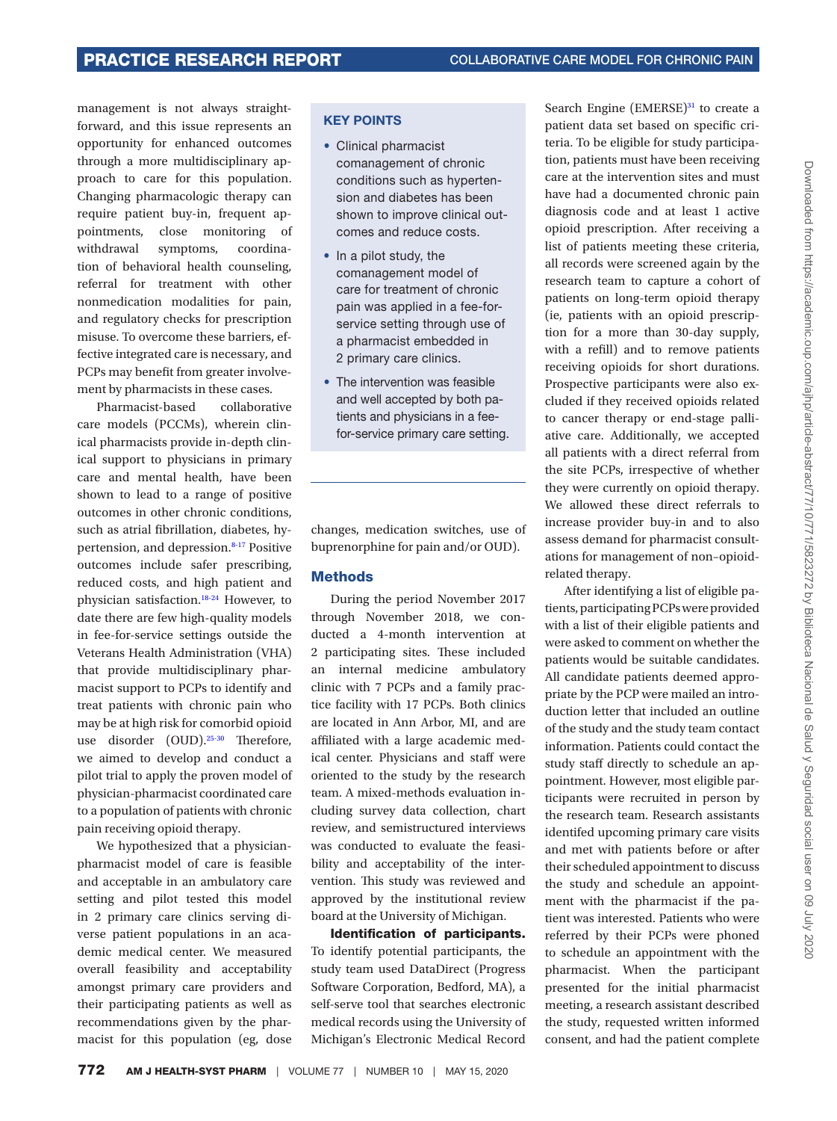management is not always straightforward, and this issue represents an opportunity for enhanced outcomes through a more multidisciplinary approach to care for this population. Changing pharmacologic therapy can require patient buy-in, frequent appointments, close monitoring of withdrawal symptoms, coordination of behavioral health counseling, referral for treatment with other nonmedication modalities for pain, and regulatory checks for prescription misuse. To overcome these barriers, effective integrated care is necessary, and PCPs may benefit from greater involvement by pharmacists in these cases.

Pharmacist-based collaborative care models (PCCMs), wherein clinical pharmacists provide in-depth clinical support to physicians in primary care and mental health, have been shown to lead to a range of positive outcomes in other chronic conditions, such as atrial fibrillation, diabetes, hypertension, and depression.8-17 Positive outcomes include safer prescribing, reduced costs, and high patient and physician satisfaction.18-24 However, to date there are few high-quality models in fee-for-service settings outside the Veterans Health Administration (VHA) that provide multidisciplinary pharmacist support to PCPs to identify and treat patients with chronic pain who may be at high risk for comorbid opioid use disorder (OUD).<sup>25-30</sup> Therefore, we aimed to develop and conduct a pilot trial to apply the proven model of physician-pharmacist coordinated care to a population of patients with chronic pain receiving opioid therapy.

We hypothesized that a physicianpharmacist model of care is feasible and acceptable in an ambulatory care setting and pilot tested this model in 2 primary care clinics serving diverse patient populations in an academic medical center. We measured overall feasibility and acceptability amongst primary care providers and their participating patients as well as recommendations given by the pharmacist for this population (eg, dose

#### KEY POINTS

- Clinical pharmacist comanagement of chronic conditions such as hypertension and diabetes has been shown to improve clinical outcomes and reduce costs.
- In a pilot study, the comanagement model of care for treatment of chronic pain was applied in a fee-forservice setting through use of a pharmacist embedded in 2 primary care clinics.
- The intervention was feasible and well accepted by both patients and physicians in a feefor-service primary care setting.

changes, medication switches, use of buprenorphine for pain and/or OUD).

#### **Methods**

During the period November 2017 through November 2018, we conducted a 4-month intervention at 2 participating sites. These included an internal medicine ambulatory clinic with 7 PCPs and a family practice facility with 17 PCPs. Both clinics are located in Ann Arbor, MI, and are affiliated with a large academic medical center. Physicians and staff were oriented to the study by the research team. A mixed-methods evaluation including survey data collection, chart review, and semistructured interviews was conducted to evaluate the feasibility and acceptability of the intervention. This study was reviewed and approved by the institutional review board at the University of Michigan.

Identification of participants. To identify potential participants, the study team used DataDirect (Progress Software Corporation, Bedford, MA), a self-serve tool that searches electronic medical records using the University of Michigan's Electronic Medical Record

Search Engine  $(EMERSE)^{31}$  to create a patient data set based on specific criteria. To be eligible for study participation, patients must have been receiving care at the intervention sites and must have had a documented chronic pain diagnosis code and at least 1 active opioid prescription. After receiving a list of patients meeting these criteria, all records were screened again by the research team to capture a cohort of patients on long-term opioid therapy (ie, patients with an opioid prescription for a more than 30-day supply, with a refill) and to remove patients receiving opioids for short durations. Prospective participants were also excluded if they received opioids related to cancer therapy or end-stage palliative care. Additionally, we accepted all patients with a direct referral from the site PCPs, irrespective of whether they were currently on opioid therapy. We allowed these direct referrals to increase provider buy-in and to also assess demand for pharmacist consultations for management of non–opioidrelated therapy.

After identifying a list of eligible patients, participating PCPs were provided with a list of their eligible patients and were asked to comment on whether the patients would be suitable candidates. All candidate patients deemed appropriate by the PCP were mailed an introduction letter that included an outline of the study and the study team contact information. Patients could contact the study staff directly to schedule an appointment. However, most eligible participants were recruited in person by the research team. Research assistants identifed upcoming primary care visits and met with patients before or after their scheduled appointment to discuss the study and schedule an appointment with the pharmacist if the patient was interested. Patients who were referred by their PCPs were phoned to schedule an appointment with the pharmacist. When the participant presented for the initial pharmacist meeting, a research assistant described the study, requested written informed consent, and had the patient complete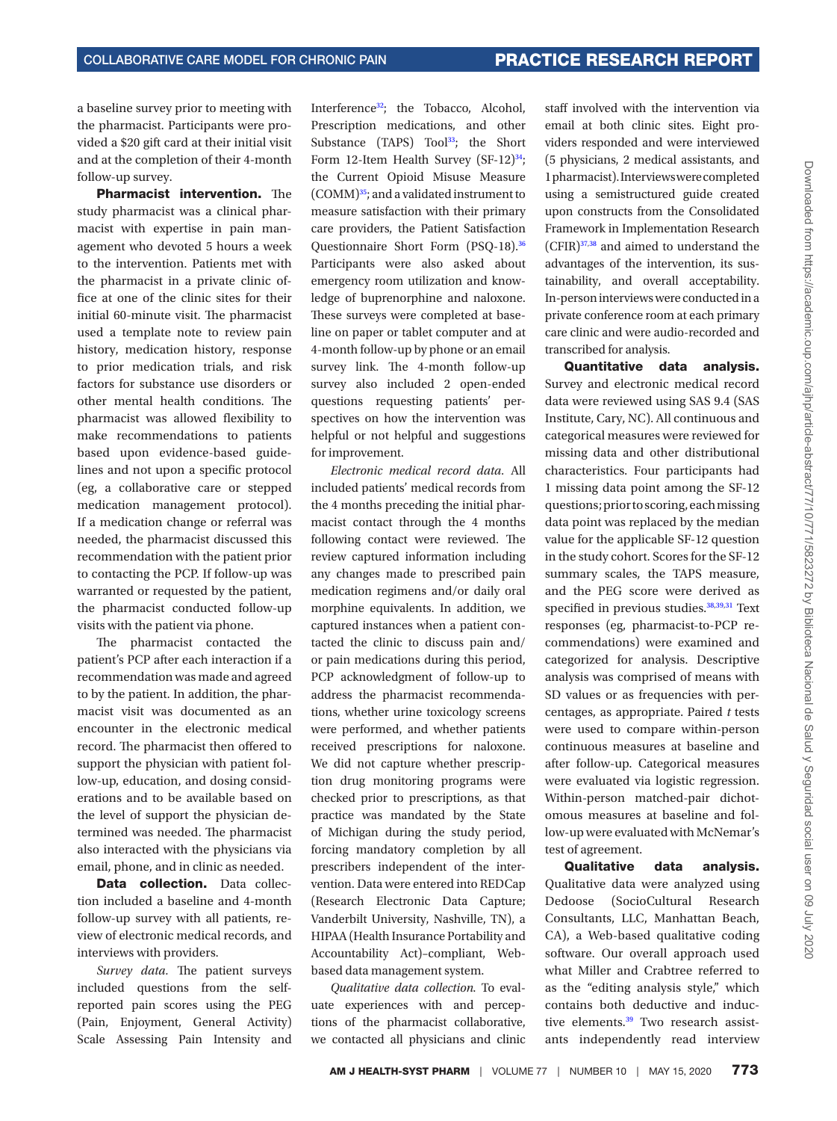a baseline survey prior to meeting with the pharmacist. Participants were provided a \$20 gift card at their initial visit and at the completion of their 4-month follow-up survey.

Pharmacist intervention. The study pharmacist was a clinical pharmacist with expertise in pain management who devoted 5 hours a week to the intervention. Patients met with the pharmacist in a private clinic office at one of the clinic sites for their initial 60-minute visit. The pharmacist used a template note to review pain history, medication history, response to prior medication trials, and risk factors for substance use disorders or other mental health conditions. The pharmacist was allowed flexibility to make recommendations to patients based upon evidence-based guidelines and not upon a specific protocol (eg, a collaborative care or stepped medication management protocol). If a medication change or referral was needed, the pharmacist discussed this recommendation with the patient prior to contacting the PCP. If follow-up was warranted or requested by the patient, the pharmacist conducted follow-up visits with the patient via phone.

The pharmacist contacted the patient's PCP after each interaction if a recommendation was made and agreed to by the patient. In addition, the pharmacist visit was documented as an encounter in the electronic medical record. The pharmacist then offered to support the physician with patient follow-up, education, and dosing considerations and to be available based on the level of support the physician determined was needed. The pharmacist also interacted with the physicians via email, phone, and in clinic as needed.

Data collection. Data collection included a baseline and 4-month follow-up survey with all patients, review of electronic medical records, and interviews with providers.

*Survey data.*  The patient surveys included questions from the selfreported pain scores using the PEG (Pain, Enjoyment, General Activity) Scale Assessing Pain Intensity and

Interferenc[e32](#page-8-6); the Tobacco, Alcohol, Prescription medications, and other Substance (TAPS) Tool<sup>33</sup>; the Short Form 12-Item Health Survey  $(SF-12)^{34}$ ; the Current Opioid Misuse Measure (COMM[\)35](#page-8-9); and a validated instrument to measure satisfaction with their primary care providers, the Patient Satisfaction Questionnaire Short Form (PSQ-18). [36](#page-9-0) Participants were also asked about emergency room utilization and knowledge of buprenorphine and naloxone. These surveys were completed at baseline on paper or tablet computer and at 4-month follow-up by phone or an email survey link. The 4-month follow-up survey also included 2 open-ended questions requesting patients' perspectives on how the intervention was helpful or not helpful and suggestions for improvement.

*Electronic medical record data.*  All included patients' medical records from the 4 months preceding the initial pharmacist contact through the 4 months following contact were reviewed. The review captured information including any changes made to prescribed pain medication regimens and/or daily oral morphine equivalents. In addition, we captured instances when a patient contacted the clinic to discuss pain and/ or pain medications during this period, PCP acknowledgment of follow-up to address the pharmacist recommendations, whether urine toxicology screens were performed, and whether patients received prescriptions for naloxone. We did not capture whether prescription drug monitoring programs were checked prior to prescriptions, as that practice was mandated by the State of Michigan during the study period, forcing mandatory completion by all prescribers independent of the intervention. Data were entered into REDCap (Research Electronic Data Capture; Vanderbilt University, Nashville, TN), a HIPAA (Health Insurance Portability and Accountability Act)–compliant, Webbased data management system.

*Qualitative data collection.*  To evaluate experiences with and perceptions of the pharmacist collaborative, we contacted all physicians and clinic

staff involved with the intervention via email at both clinic sites. Eight providers responded and were interviewed (5 physicians, 2 medical assistants, and 1 pharmacist). Interviews were completed using a semistructured guide created upon constructs from the Consolidated Framework in Implementation Research (CFIR)[37,](#page-9-1)[38](#page-9-2) and aimed to understand the advantages of the intervention, its sustainability, and overall acceptability. In-person interviews were conducted in a private conference room at each primary care clinic and were audio-recorded and transcribed for analysis.

Quantitative data analysis. Survey and electronic medical record data were reviewed using SAS 9.4 (SAS Institute, Cary, NC). All continuous and categorical measures were reviewed for missing data and other distributional characteristics. Four participants had 1 missing data point among the SF-12 questions; prior to scoring, each missing data point was replaced by the median value for the applicable SF-12 question in the study cohort. Scores for the SF-12 summary scales, the TAPS measure, and the PEG score were derived as specified in previous studies.<sup>38,[39,](#page-9-3)[31](#page-8-5)</sup> Text responses (eg, pharmacist-to-PCP recommendations) were examined and categorized for analysis. Descriptive analysis was comprised of means with SD values or as frequencies with percentages, as appropriate. Paired *t* tests were used to compare within-person continuous measures at baseline and after follow-up. Categorical measures were evaluated via logistic regression. Within-person matched-pair dichotomous measures at baseline and follow-up were evaluated with McNemar's test of agreement.

Qualitative data analysis. Qualitative data were analyzed using Dedoose (SocioCultural Research Consultants, LLC, Manhattan Beach, CA), a Web-based qualitative coding software. Our overall approach used what Miller and Crabtree referred to as the "editing analysis style," which contains both deductive and inductive elements.<sup>39</sup> Two research assistants independently read interview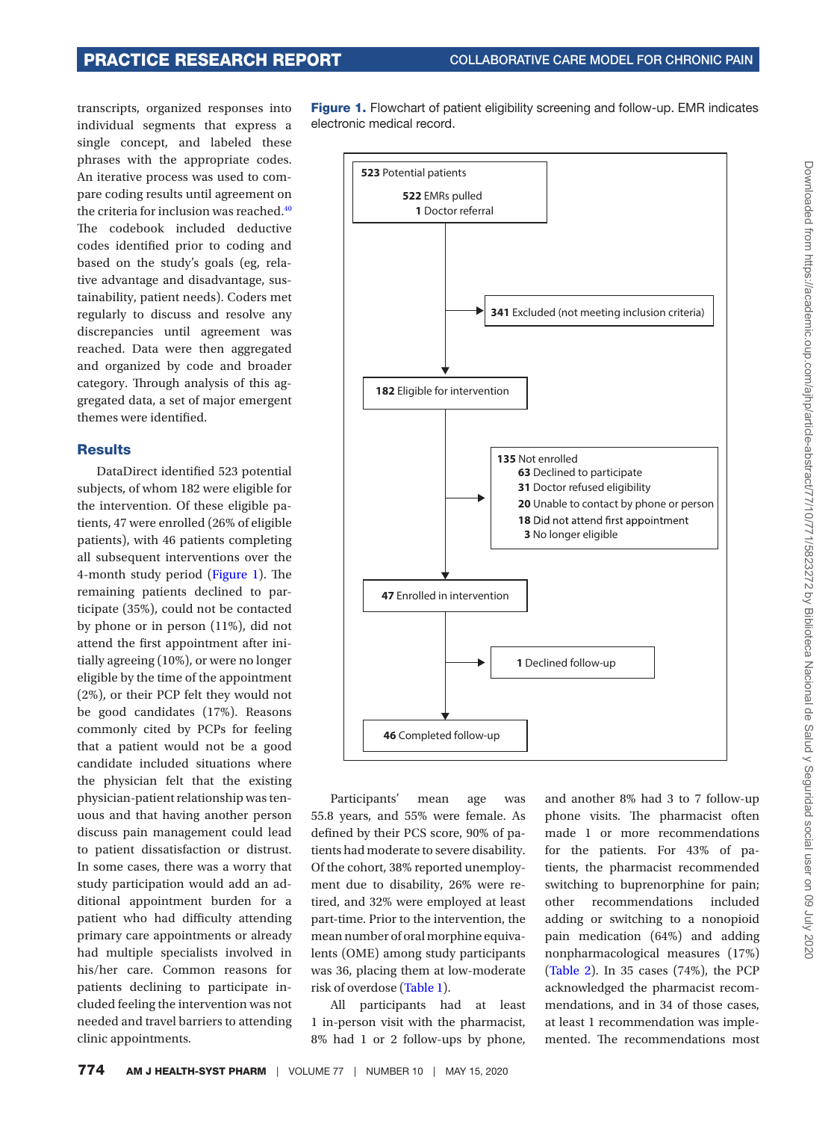transcripts, organized responses into individual segments that express a single concept, and labeled these phrases with the appropriate codes. An iterative process was used to compare coding results until agreement on the criteria for inclusion was reached.<sup>[40](#page-9-4)</sup> The codebook included deductive codes identified prior to coding and based on the study's goals (eg, relative advantage and disadvantage, sustainability, patient needs). Coders met regularly to discuss and resolve any discrepancies until agreement was reached. Data were then aggregated and organized by code and broader category. Through analysis of this aggregated data, a set of major emergent themes were identified.

#### **Results**

DataDirect identified 523 potential subjects, of whom 182 were eligible for the intervention. Of these eligible patients, 47 were enrolled (26% of eligible patients), with 46 patients completing all subsequent interventions over the 4-month study period (Figure 1). The remaining patients declined to participate (35%), could not be contacted by phone or in person (11%), did not attend the first appointment after initially agreeing (10%), or were no longer eligible by the time of the appointment (2%), or their PCP felt they would not be good candidates (17%). Reasons commonly cited by PCPs for feeling that a patient would not be a good candidate included situations where the physician felt that the existing physician-patient relationship was tenuous and that having another person discuss pain management could lead to patient dissatisfaction or distrust. In some cases, there was a worry that study participation would add an additional appointment burden for a patient who had difficulty attending primary care appointments or already had multiple specialists involved in his/her care. Common reasons for patients declining to participate included feeling the intervention was not needed and travel barriers to attending clinic appointments.

<span id="page-3-0"></span>Figure 1. Flowchart of patient eligibility screening and follow-up. EMR indicates electronic medical record.



Participants' mean age was 55.8 years, and 55% were female. As defined by their PCS score, 90% of patients had moderate to severe disability. Of the cohort, 38% reported unemployment due to disability, 26% were retired, and 32% were employed at least part-time. Prior to the intervention, the mean number of oral morphine equivalents (OME) among study participants was 36, placing them at low-moderate risk of overdose ([Table 1\)](#page-4-0).

All participants had at least 1 in-person visit with the pharmacist, 8% had 1 or 2 follow-ups by phone,

and another 8% had 3 to 7 follow-up phone visits. The pharmacist often made 1 or more recommendations for the patients. For 43% of patients, the pharmacist recommended switching to buprenorphine for pain; other recommendations included adding or switching to a nonopioid pain medication (64%) and adding nonpharmacological measures (17%) [\(Table 2](#page-5-0)). In 35 cases (74%), the PCP acknowledged the pharmacist recommendations, and in 34 of those cases, at least 1 recommendation was implemented. The recommendations most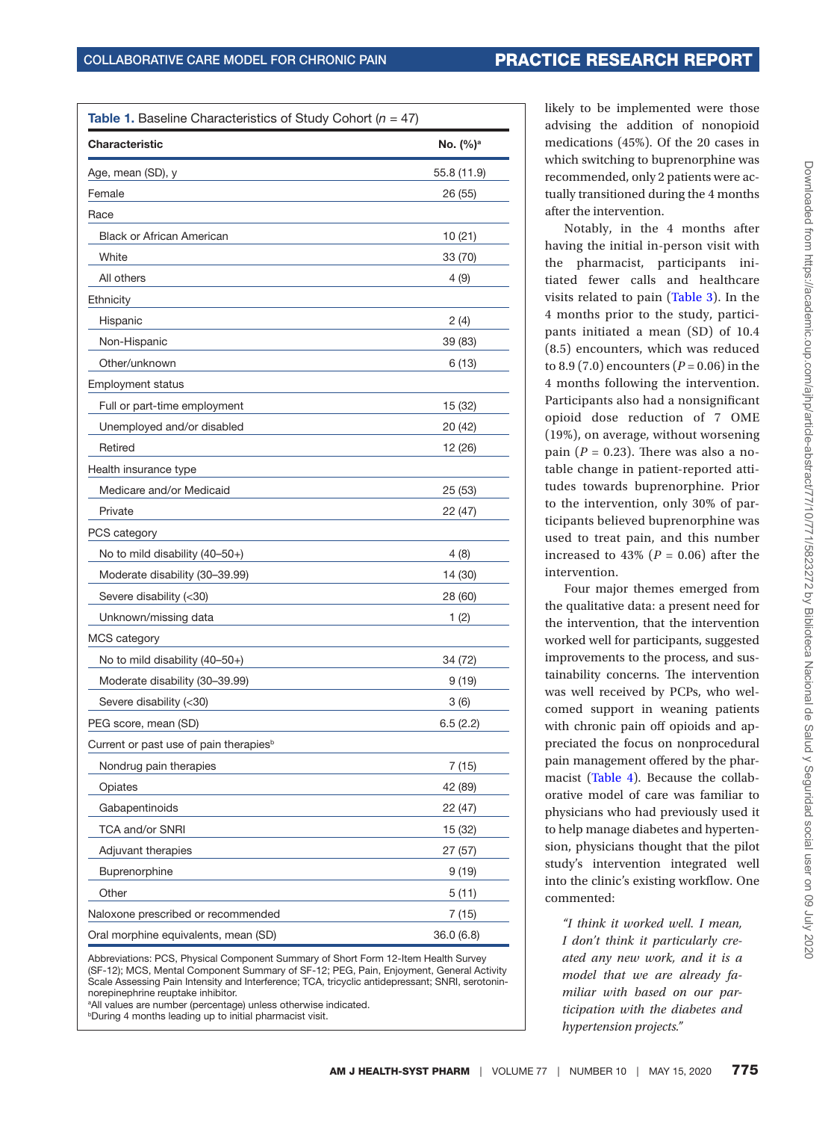<span id="page-4-0"></span>

| <b>Table 1.</b> Baseline Characteristics of Study Cohort ( $n = 47$ ) |                      |  |  |
|-----------------------------------------------------------------------|----------------------|--|--|
| <b>Characteristic</b>                                                 | No. (%) <sup>a</sup> |  |  |
| Age, mean (SD), y                                                     | 55.8 (11.9)          |  |  |
| Female                                                                | 26 (55)              |  |  |
| Race                                                                  |                      |  |  |
| <b>Black or African American</b>                                      | 10(21)               |  |  |
| White                                                                 | 33 (70)              |  |  |
| All others                                                            | 4(9)                 |  |  |
| Ethnicity                                                             |                      |  |  |
| Hispanic                                                              | 2(4)                 |  |  |
| Non-Hispanic                                                          | 39 (83)              |  |  |
| Other/unknown                                                         | 6(13)                |  |  |
| <b>Employment status</b>                                              |                      |  |  |
| Full or part-time employment                                          | 15 (32)              |  |  |
| Unemployed and/or disabled                                            | 20 (42)              |  |  |
| Retired                                                               | 12 (26)              |  |  |
| Health insurance type                                                 |                      |  |  |
| Medicare and/or Medicaid                                              | 25 (53)              |  |  |
| Private                                                               | 22 (47)              |  |  |
| PCS category                                                          |                      |  |  |
| No to mild disability (40-50+)                                        | 4(8)                 |  |  |
| Moderate disability (30-39.99)                                        | 14 (30)              |  |  |
| Severe disability (<30)                                               | 28 (60)              |  |  |
| Unknown/missing data                                                  | 1(2)                 |  |  |
| MCS category                                                          |                      |  |  |
| No to mild disability (40-50+)                                        | 34 (72)              |  |  |
| Moderate disability (30-39.99)                                        | 9(19)                |  |  |
| Severe disability (<30)                                               | 3(6)                 |  |  |
| PEG score, mean (SD)                                                  | 6.5(2.2)             |  |  |
| Current or past use of pain therapies <sup>b</sup>                    |                      |  |  |
| Nondrug pain therapies                                                | 7(15)                |  |  |
| Opiates                                                               | 42 (89)              |  |  |
| Gabapentinoids                                                        | 22 (47)              |  |  |
| TCA and/or SNRI                                                       | 15 (32)              |  |  |
| Adjuvant therapies                                                    | 27 (57)              |  |  |
| Buprenorphine                                                         | 9(19)                |  |  |
| Other                                                                 | 5(11)                |  |  |
| Naloxone prescribed or recommended                                    | 7(15)                |  |  |
| Oral morphine equivalents, mean (SD)                                  | 36.0(6.8)            |  |  |

Abbreviations: PCS, Physical Component Summary of Short Form 12-Item Health Survey (SF-12); MCS, Mental Component Summary of SF-12; PEG, Pain, Enjoyment, General Activity Scale Assessing Pain Intensity and Interference; TCA, tricyclic antidepressant; SNRI, serotoninnorepinephrine reuptake inhibitor.

<sup>a</sup>All values are number (percentage) unless otherwise indicated. **bDuring 4 months leading up to initial pharmacist visit.** 

likely to be implemented were those advising the addition of nonopioid medications (45%). Of the 20 cases in which switching to buprenorphine was recommended, only 2 patients were actually transitioned during the 4 months after the intervention.

Notably, in the 4 months after having the initial in-person visit with the pharmacist, participants initiated fewer calls and healthcare visits related to pain [\(Table 3](#page-5-1)). In the 4 months prior to the study, participants initiated a mean (SD) of 10.4 (8.5) encounters, which was reduced to 8.9 (7.0) encounters (*P* = 0.06) in the 4 months following the intervention. Participants also had a nonsignificant opioid dose reduction of 7 OME (19%), on average, without worsening pain  $(P = 0.23)$ . There was also a notable change in patient-reported attitudes towards buprenorphine. Prior to the intervention, only 30% of participants believed buprenorphine was used to treat pain, and this number increased to 43% ( $P = 0.06$ ) after the intervention.

Four major themes emerged from the qualitative data: a present need for the intervention, that the intervention worked well for participants, suggested improvements to the process, and sustainability concerns. The intervention was well received by PCPs, who welcomed support in weaning patients with chronic pain off opioids and appreciated the focus on nonprocedural pain management offered by the pharmacist (Table 4). Because the collaborative model of care was familiar to physicians who had previously used it to help manage diabetes and hypertension, physicians thought that the pilot study's intervention integrated well into the clinic's existing workflow. One commented:

*"I think it worked well. I mean, I don't think it particularly created any new work, and it is a model that we are already familiar with based on our participation with the diabetes and hypertension projects."*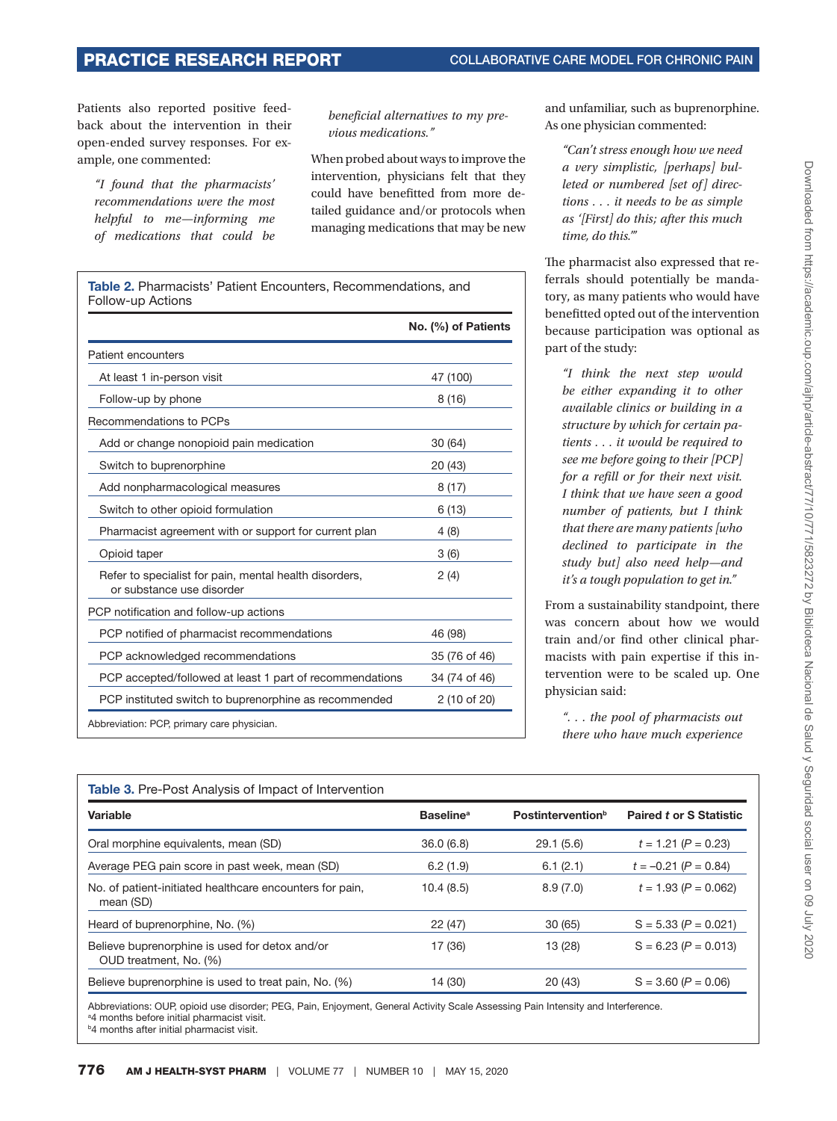Patients also reported positive feedback about the intervention in their open-ended survey responses. For example, one commented:

*"I found that the pharmacists' recommendations were the most helpful to me—informing me of medications that could be* 

*beneficial alternatives to my previous medications."*

When probed about ways to improve the intervention, physicians felt that they could have benefitted from more detailed guidance and/or protocols when managing medications that may be new

<span id="page-5-0"></span>

|                                                                                     | No. (%) of Patients |
|-------------------------------------------------------------------------------------|---------------------|
| Patient encounters                                                                  |                     |
| At least 1 in-person visit                                                          | 47 (100)            |
| Follow-up by phone                                                                  | 8(16)               |
| Recommendations to PCPs                                                             |                     |
| Add or change nonopioid pain medication                                             | 30(64)              |
| Switch to buprenorphine                                                             | 20 (43)             |
| Add nonpharmacological measures                                                     | 8(17)               |
| Switch to other opioid formulation                                                  | 6(13)               |
| Pharmacist agreement with or support for current plan                               | 4(8)                |
| Opioid taper                                                                        | 3(6)                |
| Refer to specialist for pain, mental health disorders,<br>or substance use disorder | 2(4)                |
| PCP notification and follow-up actions                                              |                     |
| PCP notified of pharmacist recommendations                                          | 46 (98)             |
| PCP acknowledged recommendations                                                    | 35 (76 of 46)       |
| PCP accepted/followed at least 1 part of recommendations                            | 34 (74 of 46)       |
| PCP instituted switch to buprenorphine as recommended                               | 2 (10 of 20)        |

and unfamiliar, such as buprenorphine. As one physician commented:

*"Can't stress enough how we need a very simplistic, [perhaps] bulleted or numbered [set of] directions . . . it needs to be as simple as '[First] do this; after this much time, do this.'"*

The pharmacist also expressed that referrals should potentially be mandatory, as many patients who would have benefitted opted out of the intervention because participation was optional as part of the study:

*"I think the next step would be either expanding it to other available clinics or building in a structure by which for certain patients . . . it would be required to see me before going to their [PCP] for a refill or for their next visit. I think that we have seen a good number of patients, but I think that there are many patients [who declined to participate in the study but] also need help—and it's a tough population to get in."*

From a sustainability standpoint, there was concern about how we would train and/or find other clinical pharmacists with pain expertise if this intervention were to be scaled up. One physician said:

*". . . the pool of pharmacists out there who have much experience* 

<span id="page-5-1"></span>

| <b>Table 3.</b> Pre-Post Analysis of Impact of Intervention              |                              |                                      |                         |  |  |
|--------------------------------------------------------------------------|------------------------------|--------------------------------------|-------------------------|--|--|
| Variable                                                                 | <b>Baseline</b> <sup>a</sup> | <b>Postintervention</b> <sup>b</sup> | Paired t or S Statistic |  |  |
| Oral morphine equivalents, mean (SD)                                     | 36.0(6.8)                    | 29.1(5.6)                            | $t = 1.21 (P = 0.23)$   |  |  |
| Average PEG pain score in past week, mean (SD)                           | 6.2(1.9)                     | 6.1(2.1)                             | $t = -0.21$ (P = 0.84)  |  |  |
| No. of patient-initiated healthcare encounters for pain,<br>mean (SD)    | 10.4(8.5)                    | 8.9(7.0)                             | $t = 1.93 (P = 0.062)$  |  |  |
| Heard of buprenorphine, No. (%)                                          | 22(47)                       | 30(65)                               | $S = 5.33 (P = 0.021)$  |  |  |
| Believe buprenorphine is used for detox and/or<br>OUD treatment, No. (%) | 17 (36)                      | 13 (28)                              | $S = 6.23 (P = 0.013)$  |  |  |
| Believe buprenorphine is used to treat pain, No. (%)                     | 14 (30)                      | 20(43)                               | $S = 3.60 (P = 0.06)$   |  |  |

Abbreviations: OUP, opioid use disorder; PEG, Pain, Enjoyment, General Activity Scale Assessing Pain Intensity and Interference. <sup>a</sup>4 months before initial pharmacist visit. **b4** months after initial pharmacist visit.

Downloaded from https://academic.oup.com/ajhp/article-abstract/77/10771/5823272 by Biblicteca Nacional de Salud y Seguridad social user on 09 July 2020 Downloaded from https://academic.oup.com/ajhp/article-abstract/77/10/771/5823272 by Biblioteca Nacional de Salud y Seguridad social user on 09 July 2020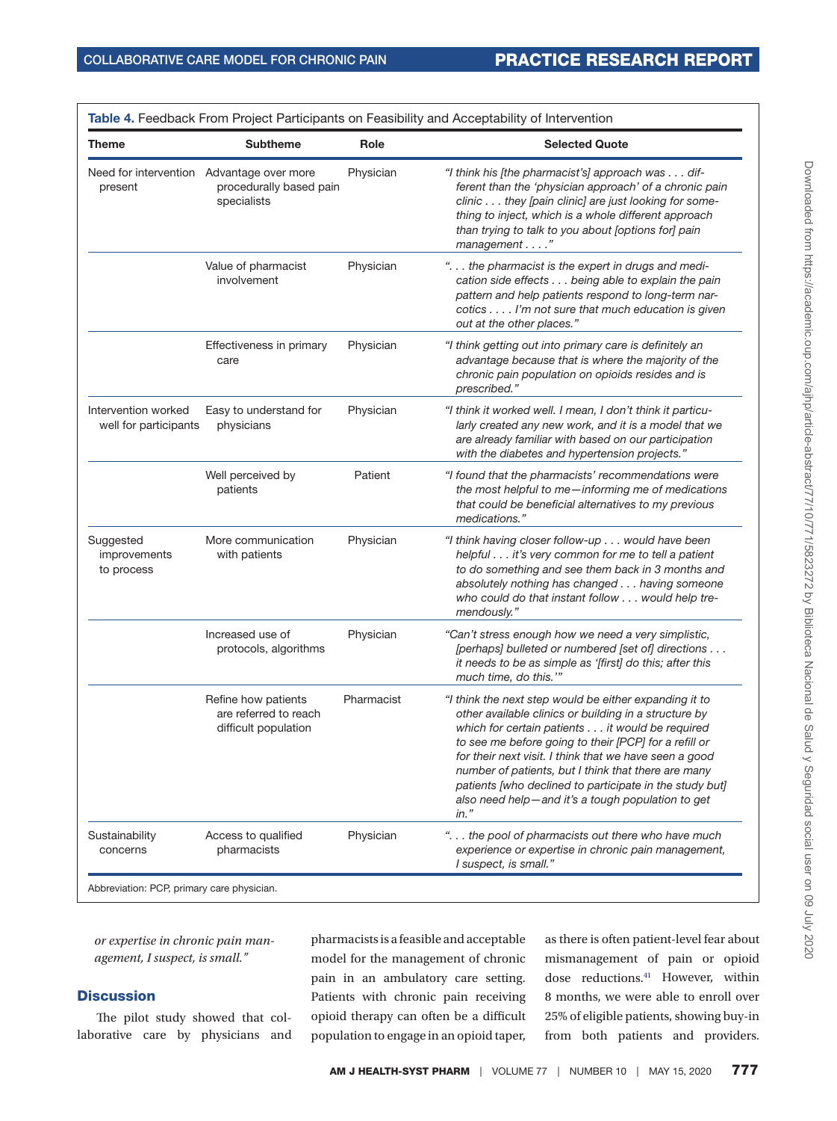| Theme                                                | <b>Subtheme</b>                                                      | Role       | <b>Selected Quote</b>                                                                                                                                                                                                                                                                                                                                                                                                                                                |
|------------------------------------------------------|----------------------------------------------------------------------|------------|----------------------------------------------------------------------------------------------------------------------------------------------------------------------------------------------------------------------------------------------------------------------------------------------------------------------------------------------------------------------------------------------------------------------------------------------------------------------|
| Need for intervention Advantage over more<br>present | procedurally based pain<br>specialists                               | Physician  | "I think his [the pharmacist's] approach was dif-<br>ferent than the 'physician approach' of a chronic pain<br>clinic they [pain clinic] are just looking for some-<br>thing to inject, which is a whole different approach<br>than trying to talk to you about [options for] pain<br>management"                                                                                                                                                                    |
|                                                      | Value of pharmacist<br>involvement                                   | Physician  | " the pharmacist is the expert in drugs and medi-<br>cation side effects being able to explain the pain<br>pattern and help patients respond to long-term nar-<br>cotics I'm not sure that much education is given<br>out at the other places."                                                                                                                                                                                                                      |
|                                                      | Effectiveness in primary<br>care                                     | Physician  | "I think getting out into primary care is definitely an<br>advantage because that is where the majority of the<br>chronic pain population on opioids resides and is<br>prescribed."                                                                                                                                                                                                                                                                                  |
| Intervention worked<br>well for participants         | Easy to understand for<br>physicians                                 | Physician  | "I think it worked well. I mean, I don't think it particu-<br>larly created any new work, and it is a model that we<br>are already familiar with based on our participation<br>with the diabetes and hypertension projects."                                                                                                                                                                                                                                         |
|                                                      | Well perceived by<br>patients                                        | Patient    | "I found that the pharmacists' recommendations were<br>the most helpful to me-informing me of medications<br>that could be beneficial alternatives to my previous<br>medications."                                                                                                                                                                                                                                                                                   |
| Suggested<br>improvements<br>to process              | More communication<br>with patients                                  | Physician  | "I think having closer follow-up would have been<br>helpful it's very common for me to tell a patient<br>to do something and see them back in 3 months and<br>absolutely nothing has changed having someone<br>who could do that instant follow would help tre-<br>mendously."                                                                                                                                                                                       |
|                                                      | Increased use of<br>protocols, algorithms                            | Physician  | "Can't stress enough how we need a very simplistic,<br>[perhaps] bulleted or numbered [set of] directions<br>it needs to be as simple as '[first] do this; after this<br>much time, do this.""                                                                                                                                                                                                                                                                       |
|                                                      | Refine how patients<br>are referred to reach<br>difficult population | Pharmacist | "I think the next step would be either expanding it to<br>other available clinics or building in a structure by<br>which for certain patients it would be required<br>to see me before going to their [PCP] for a refill or<br>for their next visit. I think that we have seen a good<br>number of patients, but I think that there are many<br>patients [who declined to participate in the study but]<br>also need help-and it's a tough population to get<br>in." |
| Sustainability<br>concerns                           | Access to qualified<br>pharmacists                                   | Physician  | " the pool of pharmacists out there who have much<br>experience or expertise in chronic pain management,<br>I suspect, is small."                                                                                                                                                                                                                                                                                                                                    |

<span id="page-6-0"></span>Table 4. Feedback From Project Participants on Feasibility and Acceptability of Intervention

*or expertise in chronic pain management, I suspect, is small."*

### **Discussion**

The pilot study showed that collaborative care by physicians and pharmacists is a feasible and acceptable model for the management of chronic pain in an ambulatory care setting. Patients with chronic pain receiving opioid therapy can often be a difficult population to engage in an opioid taper, as there is often patient-level fear about mismanagement of pain or opioid dose reductions.<sup>[41](#page-9-5)</sup> However, within 8 months, we were able to enroll over 25% of eligible patients, showing buy-in from both patients and providers.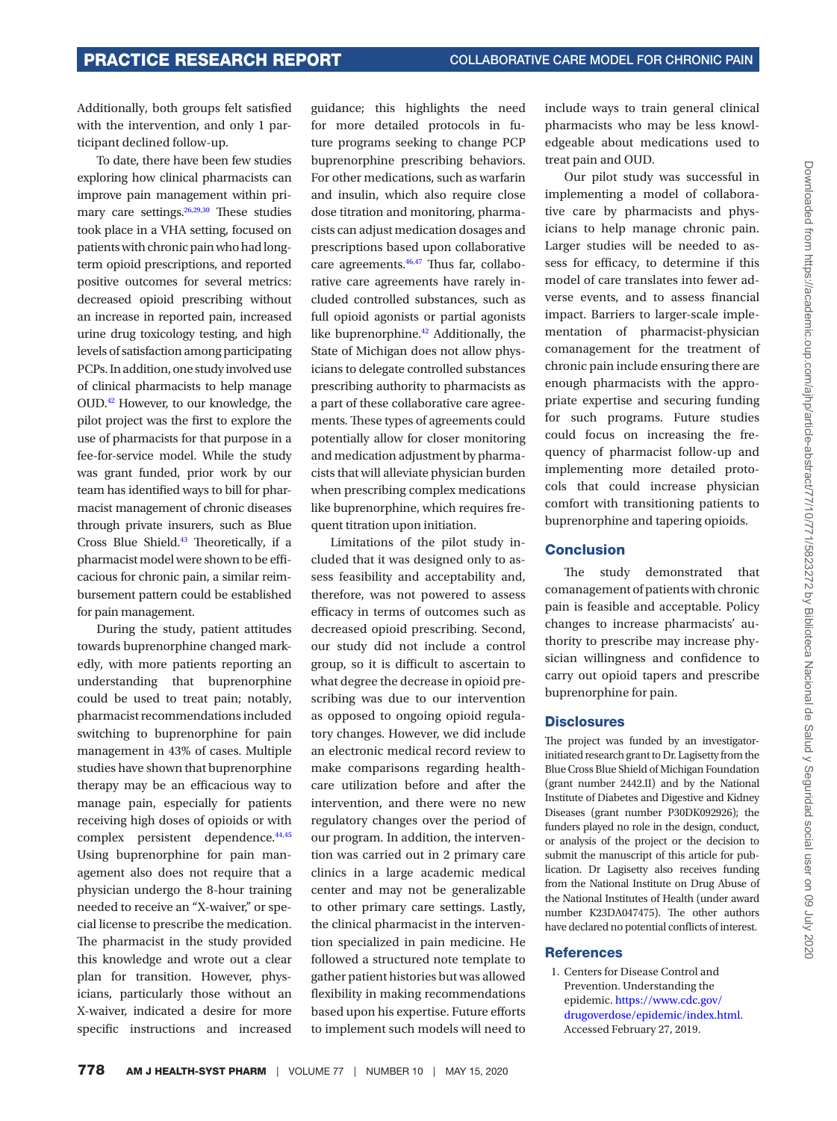Additionally, both groups felt satisfied with the intervention, and only 1 participant declined follow-up.

To date, there have been few studies exploring how clinical pharmacists can improve pain management within pri-mary care settings.<sup>[26](#page-8-10)[,29](#page-8-11),30</sup> These studies took place in a VHA setting, focused on patients with chronic pain who had longterm opioid prescriptions, and reported positive outcomes for several metrics: decreased opioid prescribing without an increase in reported pain, increased urine drug toxicology testing, and high levels of satisfaction among participating PCPs. In addition, one study involved use of clinical pharmacists to help manage OUD[.42](#page-9-6) However, to our knowledge, the pilot project was the first to explore the use of pharmacists for that purpose in a fee-for-service model. While the study was grant funded, prior work by our team has identified ways to bill for pharmacist management of chronic diseases through private insurers, such as Blue Cross Blue Shield[.43](#page-9-7) Theoretically, if a pharmacist model were shown to be efficacious for chronic pain, a similar reimbursement pattern could be established for pain management.

During the study, patient attitudes towards buprenorphine changed markedly, with more patients reporting an understanding that buprenorphine could be used to treat pain; notably, pharmacist recommendations included switching to buprenorphine for pain management in 43% of cases. Multiple studies have shown that buprenorphine therapy may be an efficacious way to manage pain, especially for patients receiving high doses of opioids or with complex persistent dependence.<sup>44,[45](#page-9-9)</sup> Using buprenorphine for pain management also does not require that a physician undergo the 8-hour training needed to receive an "X-waiver," or special license to prescribe the medication. The pharmacist in the study provided this knowledge and wrote out a clear plan for transition. However, physicians, particularly those without an X-waiver, indicated a desire for more specific instructions and increased

guidance; this highlights the need for more detailed protocols in future programs seeking to change PCP buprenorphine prescribing behaviors. For other medications, such as warfarin and insulin, which also require close dose titration and monitoring, pharmacists can adjust medication dosages and prescriptions based upon collaborative care agreements. $46,47$  $46,47$  Thus far, collaborative care agreements have rarely included controlled substances, such as full opioid agonists or partial agonists like buprenorphine.[42](#page-9-6) Additionally, the State of Michigan does not allow physicians to delegate controlled substances prescribing authority to pharmacists as a part of these collaborative care agreements. These types of agreements could potentially allow for closer monitoring and medication adjustment by pharmacists that will alleviate physician burden when prescribing complex medications like buprenorphine, which requires frequent titration upon initiation.

Limitations of the pilot study included that it was designed only to assess feasibility and acceptability and, therefore, was not powered to assess efficacy in terms of outcomes such as decreased opioid prescribing. Second, our study did not include a control group, so it is difficult to ascertain to what degree the decrease in opioid prescribing was due to our intervention as opposed to ongoing opioid regulatory changes. However, we did include an electronic medical record review to make comparisons regarding healthcare utilization before and after the intervention, and there were no new regulatory changes over the period of our program. In addition, the intervention was carried out in 2 primary care clinics in a large academic medical center and may not be generalizable to other primary care settings. Lastly, the clinical pharmacist in the intervention specialized in pain medicine. He followed a structured note template to gather patient histories but was allowed flexibility in making recommendations based upon his expertise. Future efforts to implement such models will need to include ways to train general clinical pharmacists who may be less knowledgeable about medications used to treat pain and OUD.

Our pilot study was successful in implementing a model of collaborative care by pharmacists and physicians to help manage chronic pain. Larger studies will be needed to assess for efficacy, to determine if this model of care translates into fewer adverse events, and to assess financial impact. Barriers to larger-scale implementation of pharmacist-physician comanagement for the treatment of chronic pain include ensuring there are enough pharmacists with the appropriate expertise and securing funding for such programs. Future studies could focus on increasing the frequency of pharmacist follow-up and implementing more detailed protocols that could increase physician comfort with transitioning patients to buprenorphine and tapering opioids.

#### Conclusion

The study demonstrated that comanagement of patients with chronic pain is feasible and acceptable. Policy changes to increase pharmacists' authority to prescribe may increase physician willingness and confidence to carry out opioid tapers and prescribe buprenorphine for pain.

#### **Disclosures**

The project was funded by an investigatorinitiated research grant to Dr. Lagisetty from the Blue Cross Blue Shield of Michigan Foundation (grant number 2442.II) and by the National Institute of Diabetes and Digestive and Kidney Diseases (grant number P30DK092926); the funders played no role in the design, conduct, or analysis of the project or the decision to submit the manuscript of this article for publication. Dr Lagisetty also receives funding from the National Institute on Drug Abuse of the National Institutes of Health (under award number K23DA047475). The other authors have declared no potential conflicts of interest.

#### References

<span id="page-7-0"></span>1. Centers for Disease Control and Prevention. Understanding the epidemic. [https://www.cdc.gov/](https://www.cdc.gov/drugoverdose/epidemic/index.html) [drugoverdose/epidemic/index.html.](https://www.cdc.gov/drugoverdose/epidemic/index.html) Accessed February 27, 2019.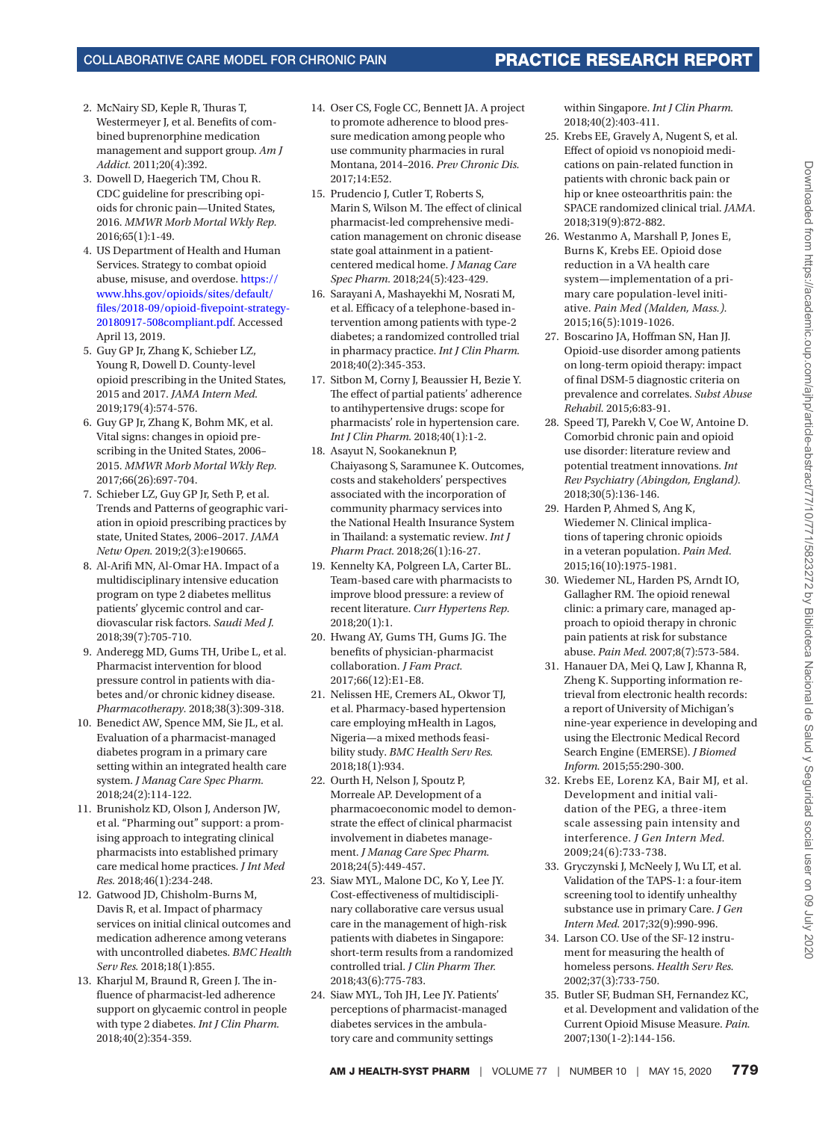- 2. McNairy SD, Keple R, Thuras T, Westermeyer J, et al. Benefits of combined buprenorphine medication management and support group. *Am J Addict.* 2011;20(4):392.
- <span id="page-8-3"></span>3. Dowell D, Haegerich TM, Chou R. CDC guideline for prescribing opioids for chronic pain—United States, 2016. *MMWR Morb Mortal Wkly Rep.* 2016;65(1):1-49.
- <span id="page-8-4"></span>4. US Department of Health and Human Services. Strategy to combat opioid abuse, misuse, and overdose. [https://](https://www.hhs.gov/opioids/sites/default/files/2018-09/opioid-fivepoint-strategy-20180917-508compliant.pdf) [www.hhs.gov/opioids/sites/default/](https://www.hhs.gov/opioids/sites/default/files/2018-09/opioid-fivepoint-strategy-20180917-508compliant.pdf) [files/2018-09/opioid-fivepoint-strategy-](https://www.hhs.gov/opioids/sites/default/files/2018-09/opioid-fivepoint-strategy-20180917-508compliant.pdf)[20180917-508compliant.pdf.](https://www.hhs.gov/opioids/sites/default/files/2018-09/opioid-fivepoint-strategy-20180917-508compliant.pdf) Accessed April 13, 2019.
- <span id="page-8-0"></span>5. Guy GP Jr, Zhang K, Schieber LZ, Young R, Dowell D. County-level opioid prescribing in the United States, 2015 and 2017. *JAMA Intern Med.* 2019;179(4):574-576.
- <span id="page-8-1"></span>6. Guy GP Jr, Zhang K, Bohm MK, et al. Vital signs: changes in opioid prescribing in the United States, 2006– 2015. *MMWR Morb Mortal Wkly Rep.* 2017;66(26):697-704.
- <span id="page-8-2"></span>7. Schieber LZ, Guy GP Jr, Seth P, et al. Trends and Patterns of geographic variation in opioid prescribing practices by state, United States, 2006–2017. *JAMA Netw Open.* 2019;2(3):e190665.
- 8. Al-Arifi MN, Al-Omar HA. Impact of a multidisciplinary intensive education program on type 2 diabetes mellitus patients' glycemic control and cardiovascular risk factors. *Saudi Med J.* 2018;39(7):705-710.
- 9. Anderegg MD, Gums TH, Uribe L, et al. Pharmacist intervention for blood pressure control in patients with diabetes and/or chronic kidney disease. *Pharmacotherapy.* 2018;38(3):309-318.
- 10. Benedict AW, Spence MM, Sie JL, et al. Evaluation of a pharmacist-managed diabetes program in a primary care setting within an integrated health care system. *J Manag Care Spec Pharm.* 2018;24(2):114-122.
- 11. Brunisholz KD, Olson J, Anderson JW, et al. "Pharming out" support: a promising approach to integrating clinical pharmacists into established primary care medical home practices. *J Int Med Res.* 2018;46(1):234-248.
- 12. Gatwood JD, Chisholm-Burns M, Davis R, et al. Impact of pharmacy services on initial clinical outcomes and medication adherence among veterans with uncontrolled diabetes. *BMC Health Serv Res.* 2018;18(1):855.
- 13. Kharjul M, Braund R, Green J. The influence of pharmacist-led adherence support on glycaemic control in people with type 2 diabetes. *Int J Clin Pharm.* 2018;40(2):354-359.
- 14. Oser CS, Fogle CC, Bennett JA. A project to promote adherence to blood pressure medication among people who use community pharmacies in rural Montana, 2014–2016. *Prev Chronic Dis.* 2017;14:E52.
- 15. Prudencio J, Cutler T, Roberts S, Marin S, Wilson M. The effect of clinical pharmacist-led comprehensive medication management on chronic disease state goal attainment in a patientcentered medical home. *J Manag Care Spec Pharm.* 2018;24(5):423-429.
- 16. Sarayani A, Mashayekhi M, Nosrati M, et al. Efficacy of a telephone-based intervention among patients with type-2 diabetes; a randomized controlled trial in pharmacy practice. *Int J Clin Pharm.* 2018;40(2):345-353.
- 17. Sitbon M, Corny J, Beaussier H, Bezie Y. The effect of partial patients' adherence to antihypertensive drugs: scope for pharmacists' role in hypertension care. *Int J Clin Pharm.* 2018;40(1):1-2.
- 18. Asayut N, Sookaneknun P, Chaiyasong S, Saramunee K. Outcomes, costs and stakeholders' perspectives associated with the incorporation of community pharmacy services into the National Health Insurance System in Thailand: a systematic review. *Int J Pharm Pract.* 2018;26(1):16-27.
- 19. Kennelty KA, Polgreen LA, Carter BL. Team-based care with pharmacists to improve blood pressure: a review of recent literature. *Curr Hypertens Rep.* 2018;20(1):1.
- 20. Hwang AY, Gums TH, Gums JG. The benefits of physician-pharmacist collaboration. *J Fam Pract.* 2017;66(12):E1-E8.
- 21. Nelissen HE, Cremers AL, Okwor TJ, et al. Pharmacy-based hypertension care employing mHealth in Lagos, Nigeria—a mixed methods feasibility study. *BMC Health Serv Res.* 2018;18(1):934.
- 22. Ourth H, Nelson J, Spoutz P, Morreale AP. Development of a pharmacoeconomic model to demonstrate the effect of clinical pharmacist involvement in diabetes management. *J Manag Care Spec Pharm.* 2018;24(5):449-457.
- 23. Siaw MYL, Malone DC, Ko Y, Lee JY. Cost-effectiveness of multidisciplinary collaborative care versus usual care in the management of high-risk patients with diabetes in Singapore: short-term results from a randomized controlled trial. *J Clin Pharm Ther.* 2018;43(6):775-783.
- 24. Siaw MYL, Toh JH, Lee JY. Patients' perceptions of pharmacist-managed diabetes services in the ambulatory care and community settings

within Singapore. *Int J Clin Pharm.* 2018;40(2):403-411.

- 25. Krebs EE, Gravely A, Nugent S, et al. Effect of opioid vs nonopioid medications on pain-related function in patients with chronic back pain or hip or knee osteoarthritis pain: the SPACE randomized clinical trial. *JAMA.* 2018;319(9):872-882.
- <span id="page-8-10"></span>26. Westanmo A, Marshall P, Jones E, Burns K, Krebs EE. Opioid dose reduction in a VA health care system—implementation of a primary care population-level initiative. *Pain Med (Malden, Mass.).* 2015;16(5):1019-1026.
- 27. Boscarino JA, Hoffman SN, Han JJ. Opioid-use disorder among patients on long-term opioid therapy: impact of final DSM-5 diagnostic criteria on prevalence and correlates. *Subst Abuse Rehabil.* 2015;6:83-91.
- 28. Speed TJ, Parekh V, Coe W, Antoine D. Comorbid chronic pain and opioid use disorder: literature review and potential treatment innovations. *Int Rev Psychiatry (Abingdon, England).* 2018;30(5):136-146.
- <span id="page-8-11"></span>29. Harden P, Ahmed S, Ang K, Wiedemer N. Clinical implications of tapering chronic opioids in a veteran population. *Pain Med.* 2015;16(10):1975-1981.
- <span id="page-8-12"></span>30. Wiedemer NL, Harden PS, Arndt IO, Gallagher RM. The opioid renewal clinic: a primary care, managed approach to opioid therapy in chronic pain patients at risk for substance abuse. *Pain Med.* 2007;8(7):573-584.
- <span id="page-8-5"></span>31. Hanauer DA, Mei Q, Law J, Khanna R, Zheng K. Supporting information retrieval from electronic health records: a report of University of Michigan's nine-year experience in developing and using the Electronic Medical Record Search Engine (EMERSE). *J Biomed Inform.* 2015;55:290-300.
- <span id="page-8-6"></span>32. Krebs EE, Lorenz KA, Bair MJ, et al. Development and initial validation of the PEG, a three-item scale assessing pain intensity and interference. *J Gen Intern Med.* 2009;24(6):733-738.
- <span id="page-8-7"></span>33. Gryczynski J, McNeely J, Wu LT, et al. Validation of the TAPS-1: a four-item screening tool to identify unhealthy substance use in primary Care. *J Gen Intern Med.* 2017;32(9):990-996.
- <span id="page-8-8"></span>34. Larson CO. Use of the SF-12 instrument for measuring the health of homeless persons. *Health Serv Res.* 2002;37(3):733-750.
- <span id="page-8-9"></span>35. Butler SF, Budman SH, Fernandez KC, et al. Development and validation of the Current Opioid Misuse Measure. *Pain.* 2007;130(1-2):144-156.